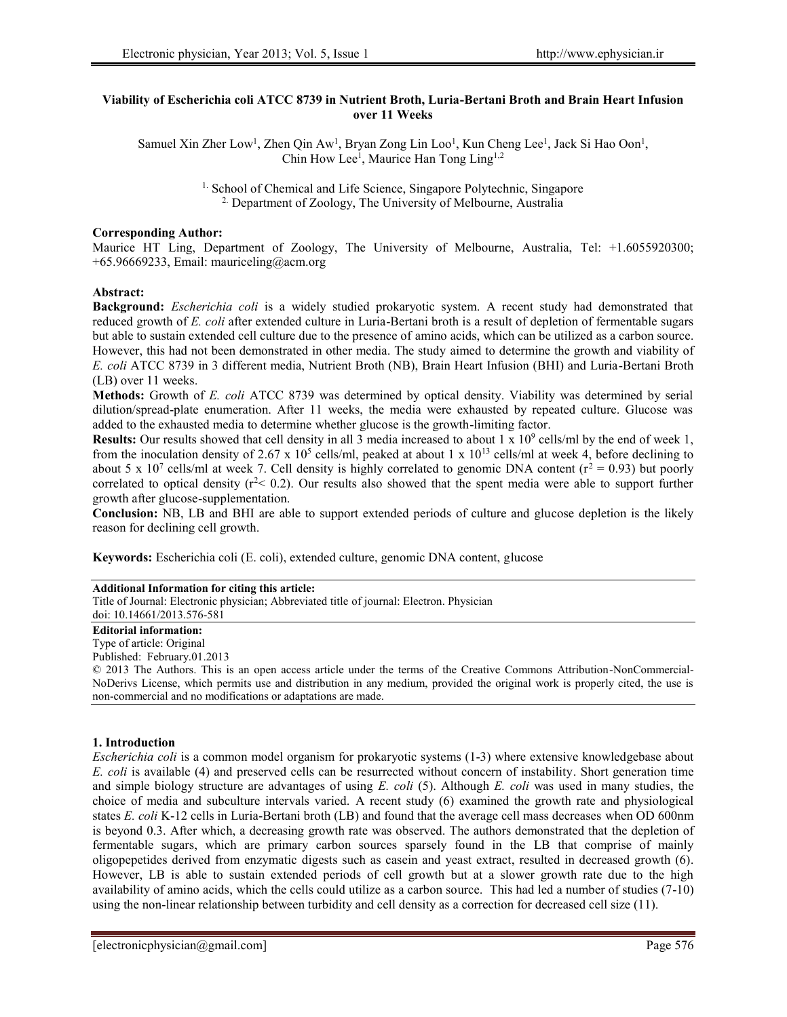### **Viability of Escherichia coli ATCC 8739 in Nutrient Broth, Luria-Bertani Broth and Brain Heart Infusion over 11 Weeks**

Samuel Xin Zher Low<sup>1</sup>, Zhen Qin Aw<sup>1</sup>, Bryan Zong Lin Loo<sup>1</sup>, Kun Cheng Lee<sup>1</sup>, Jack Si Hao Oon<sup>1</sup>, Chin How Lee<sup>1</sup>, Maurice Han Tong Ling<sup>1,2</sup>

> <sup>1.</sup> School of Chemical and Life Science, Singapore Polytechnic, Singapore 2. Department of Zoology, The University of Melbourne, Australia

# **Corresponding Author:**

Maurice HT Ling, Department of Zoology, The University of Melbourne, Australia, Tel: +1.6055920300; +65.96669233, Email: mauriceling@acm.org

### **Abstract:**

**Background:** *Escherichia coli* is a widely studied prokaryotic system. A recent study had demonstrated that reduced growth of *E. coli* after extended culture in Luria-Bertani broth is a result of depletion of fermentable sugars but able to sustain extended cell culture due to the presence of amino acids, which can be utilized as a carbon source. However, this had not been demonstrated in other media. The study aimed to determine the growth and viability of *E. coli* ATCC 8739 in 3 different media, Nutrient Broth (NB), Brain Heart Infusion (BHI) and Luria-Bertani Broth (LB) over 11 weeks.

**Methods:** Growth of *E. coli* ATCC 8739 was determined by optical density. Viability was determined by serial dilution/spread-plate enumeration. After 11 weeks, the media were exhausted by repeated culture. Glucose was added to the exhausted media to determine whether glucose is the growth-limiting factor.

**Results:** Our results showed that cell density in all 3 media increased to about 1 x 10<sup>9</sup> cells/ml by the end of week 1, from the inoculation density of 2.67 x  $10^5$  cells/ml, peaked at about 1 x  $10^{13}$  cells/ml at week 4, before declining to about 5 x 10<sup>7</sup> cells/ml at week 7. Cell density is highly correlated to genomic DNA content ( $r^2 = 0.93$ ) but poorly correlated to optical density  $(r^2 < 0.2)$ . Our results also showed that the spent media were able to support further growth after glucose-supplementation.

**Conclusion:** NB, LB and BHI are able to support extended periods of culture and glucose depletion is the likely reason for declining cell growth.

**Keywords:** Escherichia coli (E. coli), extended culture, genomic DNA content, glucose

#### **Additional Information for citing this article:**

Title of Journal: Electronic physician; Abbreviated title of journal: Electron. Physician

#### doi: 10.14661/2013.576-581 **Editorial information:**

# Type of article: Original

Published: February.01.2013

© 2013 The Authors. This is an open access article under the terms of the Creative Commons Attribution-NonCommercial- NoDerivs License, which permits use and distribution in any medium, provided the original work is properly cited, the use is non-commercial and no modifications or adaptations are made.

### **1. Introduction**

*Escherichia coli* is a common model organism for prokaryotic systems (1-3) where extensive knowledgebase about *E. coli* is available (4) and preserved cells can be resurrected without concern of instability. Short generation time and simple biology structure are advantages of using *E. coli* (5). Although *E. coli* was used in many studies, the choice of media and subculture intervals varied. A recent study (6) examined the growth rate and physiological states *E. coli* K-12 cells in Luria-Bertani broth (LB) and found that the average cell mass decreases when OD 600nm is beyond 0.3. After which, a decreasing growth rate was observed. The authors demonstrated that the depletion of fermentable sugars, which are primary carbon sources sparsely found in the LB that comprise of mainly oligopepetides derived from enzymatic digests such as casein and yeast extract, resulted in decreased growth (6). However, LB is able to sustain extended periods of cell growth but at a slower growth rate due to the high availability of amino acids, which the cells could utilize as a carbon source. This had led a number of studies (7-10) using the non-linear relationship between turbidity and cell density as a correction for decreased cell size (11).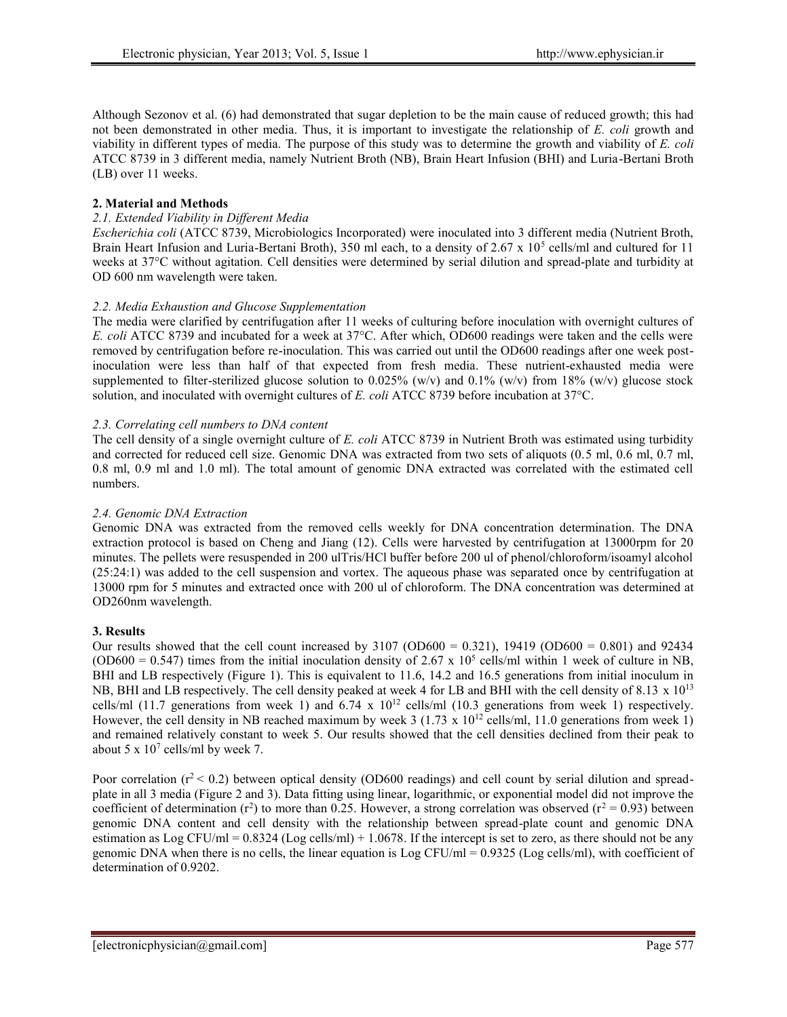Although Sezonov et al. (6) had demonstrated that sugar depletion to be the main cause of reduced growth; this had not been demonstrated in other media. Thus, it is important to investigate the relationship of *E. coli* growth and viability in different types of media. The purpose of this study was to determine the growth and viability of*E. coli* ATCC 8739 in 3 different media, namely Nutrient Broth (NB), Brain Heart Infusion (BHI) and Luria-Bertani Broth (LB) over 11 weeks.

# **2. Material and Methods**

# *2.1. Extended Viability in Different Media*

*Escherichia coli* (ATCC 8739, Microbiologics Incorporated) were inoculated into 3 different media (Nutrient Broth, Brain Heart Infusion and Luria-Bertani Broth), 350 ml each, to a density of 2.67 x 10<sup>5</sup> cells/ml and cultured for 11 weeks at 37°C without agitation. Cell densities were determined by serial dilution and spread-plate and turbidity at OD 600 nm wavelength were taken.

# *2.2. Media Exhaustion and Glucose Supplementation*

The media were clarified by centrifugation after 11 weeks of culturing before inoculation with overnight cultures of *E. coli* ATCC 8739 and incubated for a week at 37°C. After which, OD600 readings were taken and the cells were removed by centrifugation before re-inoculation. This was carried out until the OD600 readings after one week postinoculation were less than half of that expected from fresh media. These nutrient-exhausted media were supplemented to filter-sterilized glucose solution to 0.025% (w/v) and 0.1% (w/v) from 18% (w/v) glucose stock solution, and inoculated with overnight cultures of *E. coli* ATCC 8739 before incubation at 37°C.

# *2.3. Correlating cell numbers to DNA content*

The cell density of a single overnight culture of *E. coli* ATCC 8739 in Nutrient Broth was estimated using turbidity and corrected for reduced cell size. Genomic DNA was extracted from two sets of aliquots (0.5 ml, 0.6 ml, 0.7 ml, 0.8 ml, 0.9 ml and 1.0 ml). The total amount of genomic DNA extracted was correlated with the estimated cell numbers.

# *2.4. Genomic DNA Extraction*

Genomic DNA was extracted from the removed cells weekly for DNA concentration determination. The DNA extraction protocol is based on Cheng and Jiang (12). Cells were harvested by centrifugation at 13000rpm for 20 minutes. The pellets were resuspended in 200 ulTris/HCl buffer before 200 ul of phenol/chloroform/isoamyl alcohol (25:24:1) was added to the cell suspension and vortex. The aqueous phase was separated once by centrifugation at 13000 rpm for 5 minutes and extracted once with 200 ul of chloroform. The DNA concentration was determined at OD260nm wavelength.

### **3. Results**

Our results showed that the cell count increased by  $3107 \text{ (OD600} = 0.321)$ ,  $19419 \text{ (OD600} = 0.801)$  and  $92434$ (OD600 = 0.547) times from the initial inoculation density of 2.67 x 10<sup>5</sup> cells/ml within 1 week of culture in NB, BHI and LB respectively (Figure 1). This is equivalent to 11.6, 14.2 and 16.5 generations from initial inoculum in NB, BHI and LB respectively. The cell density peaked at week 4 for LB and BHI with the cell density of 8.13  $\times$  10<sup>13</sup> cells/ml (11.7 generations from week 1) and 6.74 x 10<sup>12</sup> cells/ml (10.3 generations from week 1) respectively. However, the cell density in NB reached maximum by week 3 (1.73 x 10<sup>12</sup> cells/ml, 11.0 generations from week 1) and remained relatively constant to week 5. Our results showed that the cell densities declined from their peak to about 5 x  $10^7$  cells/ml by week 7.

Poor correlation ( $r^2$  < 0.2) between optical density (OD600 readings) and cell count by serial dilution and spreadplate in all 3 media (Figure 2 and 3). Data fitting using linear, logarithmic, or exponential model did not improve the coefficient of determination (r<sup>2</sup>) to more than 0.25. However, a strong correlation was observed (r<sup>2</sup> = 0.93) between genomic DNA content and cell density with the relationship between spread-plate count and genomic DNA estimation as Log CFU/ml =  $0.8324$  (Log cells/ml) + 1.0678. If the intercept is set to zero, as there should not be any genomic DNA when there is no cells, the linear equation is Log CFU/ml = 0.9325 (Log cells/ml), with coefficient of determination of 0.9202.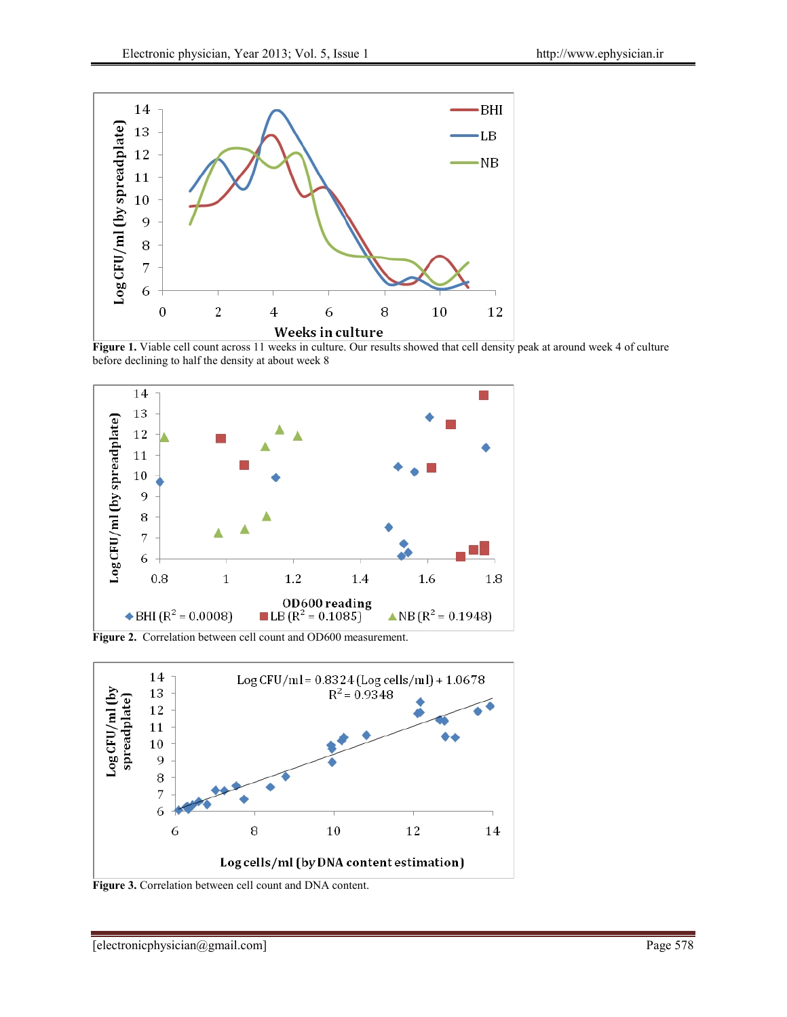

**Figure 1.** Viable cell count across 11 weeks in culture. Our results showed that cell density peak at around week 4 of culture before declining to half the density at about week 8



**Figure 2.** Correlation between cell count and OD600 measurement.



**Figure 3.** Correlation between cell count and DNA content.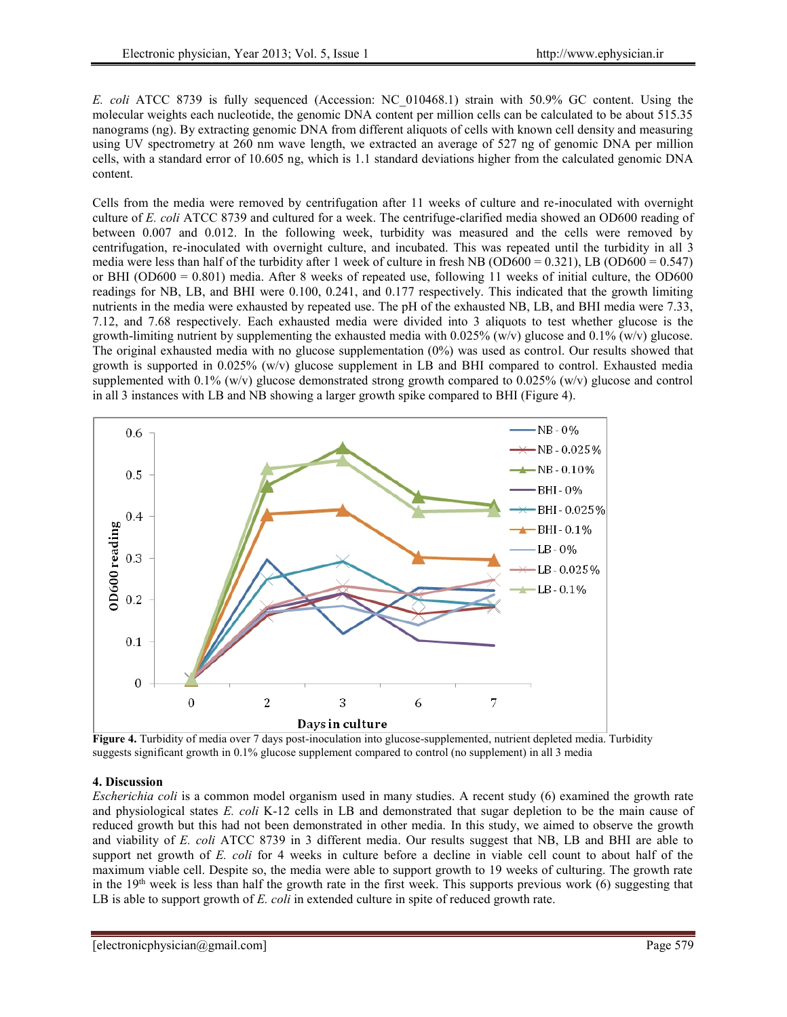*E. coli* ATCC 8739 is fully sequenced (Accession: NC\_010468.1) strain with 50.9% GC content. Using the molecular weights each nucleotide, the genomic DNA content per million cells can be calculated to be about 515.35 nanograms (ng). By extracting genomic DNA from different aliquots of cells with known cell density and measuring using UV spectrometry at 260 nm wave length, we extracted an average of 527 ng of genomic DNA per million cells, with a standard error of 10.605 ng, which is 1.1 standard deviations higher from the calculated genomic DNA content.

Cells from the media were removed by centrifugation after 11 weeks of culture and re-inoculated with overnight culture of *E. coli* ATCC 8739 and cultured for a week. The centrifuge-clarified media showed an OD600 reading of between 0.007 and 0.012. In the following week, turbidity was measured and the cells were removed by centrifugation, re-inoculated with overnight culture, and incubated. This was repeated until the turbidity in all 3 media were less than half of the turbidity after 1 week of culture in fresh NB (OD600 = 0.321), LB (OD600 = 0.547) or BHI (OD600 = 0.801) media. After 8 weeks of repeated use, following 11 weeks of initial culture, the OD600 readings for NB, LB, and BHI were 0.100, 0.241, and 0.177 respectively. This indicated that the growth limiting nutrients in the media were exhausted by repeated use. The pH of the exhausted NB, LB, and BHI media were 7.33, 7.12, and 7.68 respectively. Each exhausted media were divided into 3 aliquots to test whether glucose is the growth-limiting nutrient by supplementing the exhausted media with  $0.025\%$  (w/v) glucose and  $0.1\%$  (w/v) glucose. The original exhausted media with no glucose supplementation (0%) was used as control. Our results showed that growth is supported in 0.025% (w/v) glucose supplement in LB and BHI compared to control. Exhausted media supplemented with  $0.1\%$  (w/v) glucose demonstrated strong growth compared to  $0.025\%$  (w/v) glucose and control in all 3 instances with LB and NB showing a larger growth spike compared to BHI (Figure 4).



**Figure 4.** Turbidity of media over 7 days post-inoculation into glucose-supplemented, nutrient depleted media. Turbidity suggests significant growth in 0.1% glucose supplement compared to control (no supplement) in all 3 media

# **4. Discussion**

*Escherichia coli* is a common model organism used in many studies. A recent study (6) examined the growth rate and physiological states *E. coli* K-12 cells in LB and demonstrated that sugar depletion to be the main cause of reduced growth but this had not been demonstrated in other media. In this study, we aimed to observe the growth and viability of*E. coli* ATCC 8739 in 3 different media. Our results suggest that NB, LB and BHI are able to support net growth of *E. coli* for 4 weeks in culture before a decline in viable cell count to about half of the maximum viable cell. Despite so, the media were able to support growth to 19 weeks of culturing. The growth rate in the  $19<sup>th</sup>$  week is less than half the growth rate in the first week. This supports previous work (6) suggesting that LB is able to support growth of *E. coli* in extended culture in spite of reduced growth rate.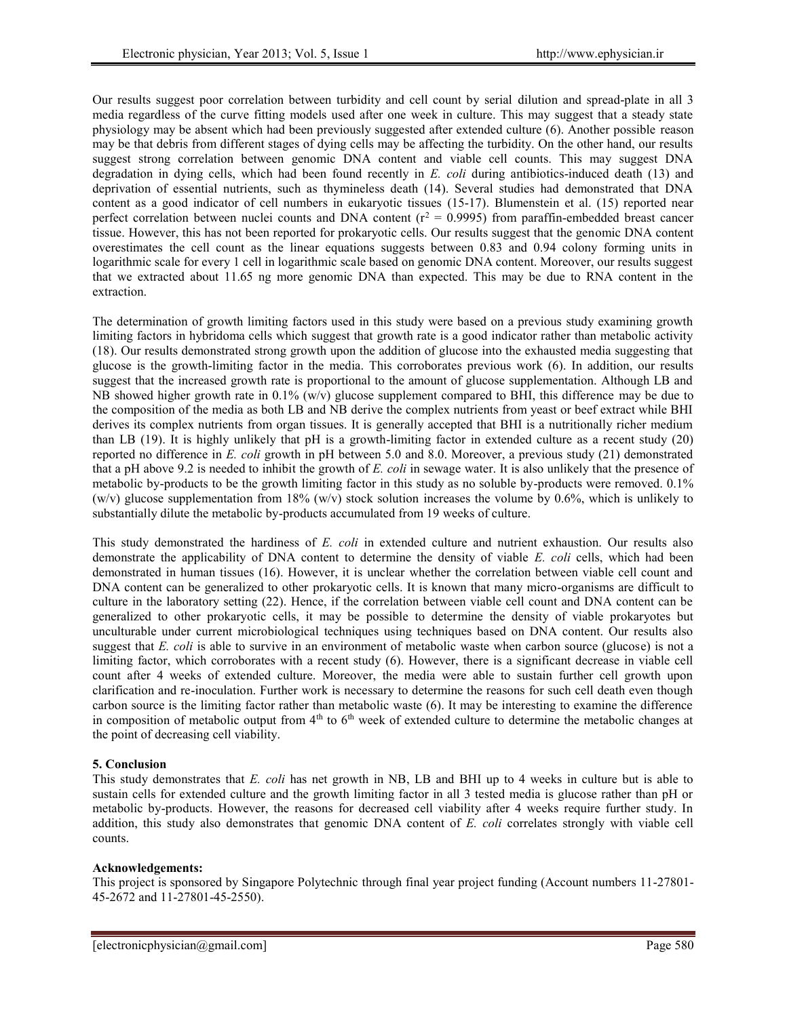Our results suggest poor correlation between turbidity and cell count by serial dilution and spread-plate in all 3 media regardless of the curve fitting models used after one week in culture. This may suggest that a steady state physiology may be absent which had been previously suggested after extended culture (6). Another possible reason may be that debris from different stages of dying cells may be affecting the turbidity. On the other hand, our results suggest strong correlation between genomic DNA content and viable cell counts. This may suggest DNA degradation in dying cells, which had been found recently in *E. coli* during antibiotics-induced death (13) and deprivation of essential nutrients, such as thymineless death (14). Several studies had demonstrated that DNA content as a good indicator of cell numbers in eukaryotic tissues (15-17). Blumenstein et al. (15) reported near perfect correlation between nuclei counts and DNA content ( $r^2$  = 0.9995) from paraffin-embedded breast cancer tissue. However, this has not been reported for prokaryotic cells. Our results suggest that the genomic DNA content overestimates the cell count as the linear equations suggests between 0.83 and 0.94 colony forming units in logarithmic scale for every 1 cell in logarithmic scale based on genomic DNA content. Moreover, our results suggest that we extracted about 11.65 ng more genomic DNA than expected. This may be due to RNA content in the extraction.

The determination of growth limiting factors used in this study were based on a previous study examining growth limiting factors in hybridoma cells which suggest that growth rate is a good indicator rather than metabolic activity (18). Our results demonstrated strong growth upon the addition of glucose into the exhausted media suggesting that glucose is the growth-limiting factor in the media. This corroborates previous work (6). In addition, our results suggest that the increased growth rate is proportional to the amount of glucose supplementation. Although LB and NB showed higher growth rate in 0.1% (w/v) glucose supplement compared to BHI, this difference may be due to the composition of the media as both LB and NB derive the complex nutrients from yeast or beef extract while BHI derives its complex nutrients from organ tissues. It is generally accepted that BHI is a nutritionally richer medium than LB (19). It is highly unlikely that pH is a growth-limiting factor in extended culture as a recent study (20) reported no difference in *E. coli* growth in pH between 5.0 and 8.0. Moreover, a previous study (21) demonstrated that a pH above 9.2 is needed to inhibit the growth of *E. coli* in sewage water. It is also unlikely that the presence of metabolic by-products to be the growth limiting factor in this study as no soluble by-products were removed. 0.1% (w/v) glucose supplementation from 18% (w/v) stock solution increases the volume by 0.6%, which is unlikely to substantially dilute the metabolic by-products accumulated from 19 weeks of culture.

This study demonstrated the hardiness of *E. coli* in extended culture and nutrient exhaustion. Our results also demonstrate the applicability of DNA content to determine the density of viable *E. coli* cells, which had been demonstrated in human tissues (16). However, it is unclear whether the correlation between viable cell count and DNA content can be generalized to other prokaryotic cells. It is known that many micro-organisms are difficult to culture in the laboratory setting (22). Hence, if the correlation between viable cell count and DNA content can be generalized to other prokaryotic cells, it may be possible to determine the density of viable prokaryotes but unculturable under current microbiological techniques using techniques based on DNA content. Our results also suggest that *E. coli* is able to survive in an environment of metabolic waste when carbon source (glucose) is not a limiting factor, which corroborates with a recent study (6). However, there is a significant decrease in viable cell count after 4 weeks of extended culture. Moreover, the media were able to sustain further cell growth upon clarification and re-inoculation. Further work is necessary to determine the reasons for such cell death even though carbon source is the limiting factor rather than metabolic waste (6). It may be interesting to examine the difference in composition of metabolic output from  $4<sup>th</sup>$  to  $6<sup>th</sup>$  week of extended culture to determine the metabolic changes at the point of decreasing cell viability.

# **5. Conclusion**

This study demonstrates that *E. coli* has net growth in NB, LB and BHI up to 4 weeks in culture but is able to sustain cells for extended culture and the growth limiting factor in all 3 tested media is glucose rather than pH or metabolic by-products. However, the reasons for decreased cell viability after 4 weeks require further study. In addition, this study also demonstrates that genomic DNA content of *E. coli* correlates strongly with viable cell counts.

### **Acknowledgements:**

This project is sponsored by Singapore Polytechnic through final year project funding (Account numbers 11-27801- 45-2672 and 11-27801-45-2550).